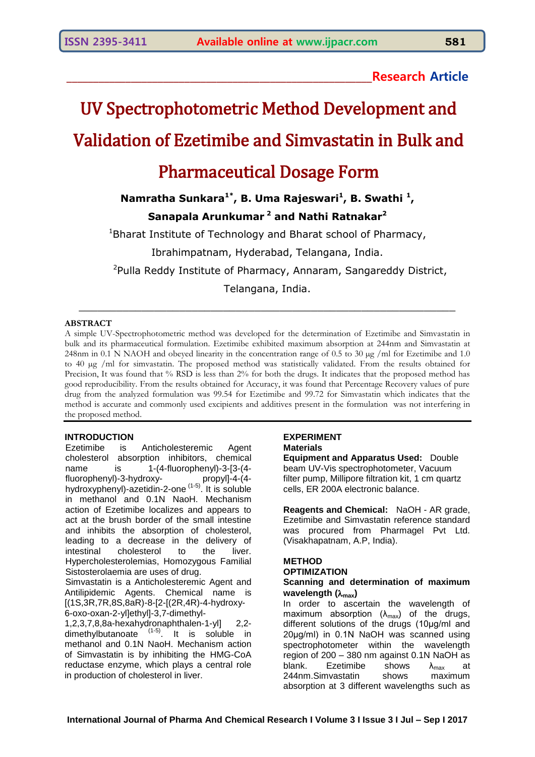### **\_\_\_\_\_\_\_\_\_\_\_\_\_\_\_\_\_\_\_\_\_\_\_\_\_\_\_\_\_\_\_\_\_\_\_\_\_\_\_\_\_\_\_\_\_\_\_\_\_\_\_\_\_\_\_\_\_Research Article**

# UV Spectrophotometric Method Development and

# Validation of Ezetimibe and Simvastatin in Bulk and

## Pharmaceutical Dosage Form

**Namratha Sunkara1\* , B. Uma Rajeswari<sup>1</sup> , B. Swathi <sup>1</sup> ,**

### **Sanapala Arunkumar <sup>2</sup> and Nathi Ratnakar<sup>2</sup>**

 $1$ Bharat Institute of Technology and Bharat school of Pharmacy,

Ibrahimpatnam, Hyderabad, Telangana, India.

<sup>2</sup>Pulla Reddy Institute of Pharmacy, Annaram, Sangareddy District,

Telangana, India.

 $\_$  . The contribution of the contribution of  $\mathcal{L}_1$  ,  $\mathcal{L}_2$  ,  $\mathcal{L}_3$  ,  $\mathcal{L}_4$  ,  $\mathcal{L}_5$  ,  $\mathcal{L}_6$  ,  $\mathcal{L}_7$  ,  $\mathcal{L}_8$  ,  $\mathcal{L}_9$  ,  $\mathcal{L}_1$  ,  $\mathcal{L}_2$  ,  $\mathcal{L}_3$  ,  $\mathcal{L}_5$  ,  $\mathcal{L}_6$  ,  $\mathcal{L}_$ 

#### **ABSTRACT**

A simple UV-Spectrophotometric method was developed for the determination of Ezetimibe and Simvastatin in bulk and its pharmaceutical formulation. Ezetimibe exhibited maximum absorption at 244nm and Simvastatin at 248nm in 0.1 N NAOH and obeyed linearity in the concentration range of 0.5 to 30  $\mu$ g /ml for Ezetimibe and 1.0 to 40 µg /ml for simvastatin. The proposed method was statistically validated. From the results obtained for Precision, It was found that % RSD is less than 2% for both the drugs. It indicates that the proposed method has good reproducibility. From the results obtained for Accuracy, it was found that Percentage Recovery values of pure drug from the analyzed formulation was 99.54 for Ezetimibe and 99.72 for Simvastatin which indicates that the method is accurate and commonly used excipients and additives present in the formulation was not interfering in the proposed method.

#### **INTRODUCTION**

Ezetimibe is Anticholesteremic Agent cholesterol absorption inhibitors, chemical name is 1-(4-fluorophenyl)-3-[3-(4fluorophenyl)-3-hydroxy- propyl]-4-(4 hydroxyphenyl)-azetidin-2-one<sup>(1-5)</sup>. It is soluble in methanol and 0.1N NaoH. Mechanism action of Ezetimibe localizes and appears to act at the brush border of the small intestine and inhibits the absorption of cholesterol, leading to a decrease in the delivery of intestinal cholesterol to the liver. Hypercholesterolemias, Homozygous Familial Sistosterolaemia are uses of drug.

Simvastatin is a Anticholesteremic Agent and Antilipidemic Agents. Chemical name is [(1S,3R,7R,8S,8aR)-8-[2-[(2R,4R)-4-hydroxy-6-oxo-oxan-2-yl]ethyl]-3,7-dimethyl-

1,2,3,7,8,8a-hexahydronaphthalen-1-yl] 2,2 dimethylbutanoate  $(1-5)$ . It is soluble in methanol and 0.1N NaoH. Mechanism action of Simvastatin is by inhibiting the HMG-CoA reductase enzyme, which plays a central role in production of cholesterol in liver.

#### **EXPERIMENT Materials**

**Equipment and Apparatus Used:** Double beam UV-Vis spectrophotometer, Vacuum filter pump, Millipore filtration kit, 1 cm quartz cells, ER 200A electronic balance.

**Reagents and Chemical:** NaOH - AR grade, Ezetimibe and Simvastatin reference standard was procured from Pharmagel Pvt Ltd. (Visakhapatnam, A.P, India).

#### **METHOD**

#### **OPTIMIZATION**

#### **Scanning and determination of maximum wavelength (max)**

In order to ascertain the wavelength of maximum absorption  $(\lambda_{max})$  of the drugs, different solutions of the drugs (10μg/ml and 20μg/ml) in 0.1N NaOH was scanned using spectrophotometer within the wavelength region of 200 – 380 nm against 0.1N NaOH as blank. Ezetimibe shows  $\lambda_{\text{max}}$  at 244nm.Simvastatin shows maximum absorption at 3 different wavelengths such as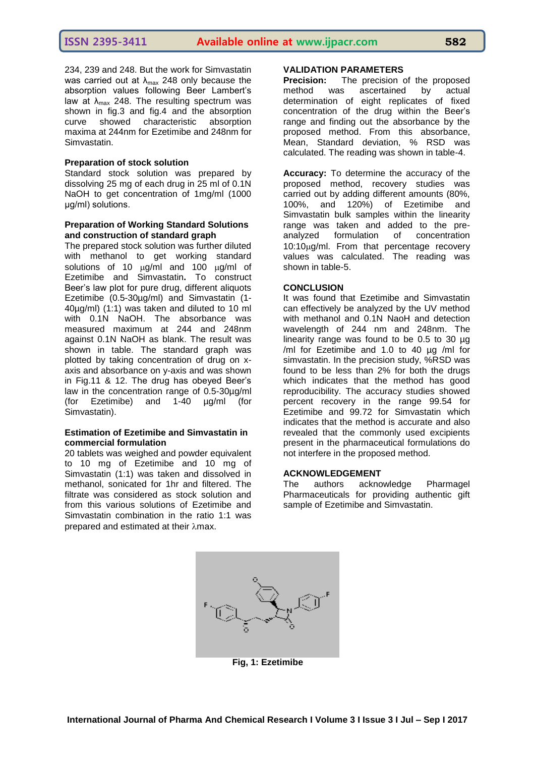234, 239 and 248. But the work for Simvastatin was carried out at  $\lambda_{\text{max}}$  248 only because the absorption values following Beer Lambert's law at  $\lambda_{\text{max}}$  248. The resulting spectrum was shown in fig.3 and fig.4 and the absorption curve showed characteristic absorption maxima at 244nm for Ezetimibe and 248nm for Simvastatin.

#### **Preparation of stock solution**

Standard stock solution was prepared by dissolving 25 mg of each drug in 25 ml of 0.1N NaOH to get concentration of 1mg/ml (1000) μg/ml) solutions.

#### **Preparation of Working Standard Solutions and construction of standard graph**

The prepared stock solution was further diluted with methanol to get working standard solutions of 10  $\mu$ g/ml and 100  $\mu$ g/ml of Ezetimibe and Simvastatin**.** To construct Beer's law plot for pure drug, different aliquots Ezetimibe (0.5-30µg/ml) and Simvastatin (1- 40µg/ml) (1:1) was taken and diluted to 10 ml with 0.1N NaOH. The absorbance was measured maximum at 244 and 248nm against 0.1N NaOH as blank. The result was shown in table. The standard graph was plotted by taking concentration of drug on xaxis and absorbance on y-axis and was shown in Fig.11 & 12. The drug has obeyed Beer's law in the concentration range of 0.5-30µg/ml (for Ezetimibe) and 1-40 µg/ml (for Simvastatin).

#### **Estimation of Ezetimibe and Simvastatin in commercial formulation**

20 tablets was weighed and powder equivalent to 10 mg of Ezetimibe and 10 mg of Simvastatin (1:1) was taken and dissolved in methanol, sonicated for 1hr and filtered. The filtrate was considered as stock solution and from this various solutions of Ezetimibe and Simvastatin combination in the ratio 1:1 was prepared and estimated at their  $\lambda$ max.

#### **VALIDATION PARAMETERS**

**Precision:** The precision of the proposed method was ascertained by actual determination of eight replicates of fixed concentration of the drug within the Beer's range and finding out the absorbance by the proposed method. From this absorbance, Mean, Standard deviation, % RSD was calculated. The reading was shown in table-4.

**Accuracy:** To determine the accuracy of the proposed method, recovery studies was carried out by adding different amounts (80%, 100%, and 120%) of Ezetimibe and Simvastatin bulk samples within the linearity range was taken and added to the preanalyzed formulation of concentration 10:10g/ml. From that percentage recovery values was calculated. The reading was shown in table-5.

#### **CONCLUSION**

It was found that Ezetimibe and Simvastatin can effectively be analyzed by the UV method with methanol and 0.1N NaoH and detection wavelength of 244 nm and 248nm. The linearity range was found to be 0.5 to 30 µg /ml for Ezetimibe and 1.0 to 40 µg /ml for simvastatin. In the precision study, %RSD was found to be less than 2% for both the drugs which indicates that the method has good reproducibility. The accuracy studies showed percent recovery in the range 99.54 for Ezetimibe and 99.72 for Simvastatin which indicates that the method is accurate and also revealed that the commonly used excipients present in the pharmaceutical formulations do not interfere in the proposed method.

#### **ACKNOWLEDGEMENT**

The authors acknowledge Pharmagel Pharmaceuticals for providing authentic gift sample of Ezetimibe and Simvastatin.



**Fig, 1: Ezetimibe**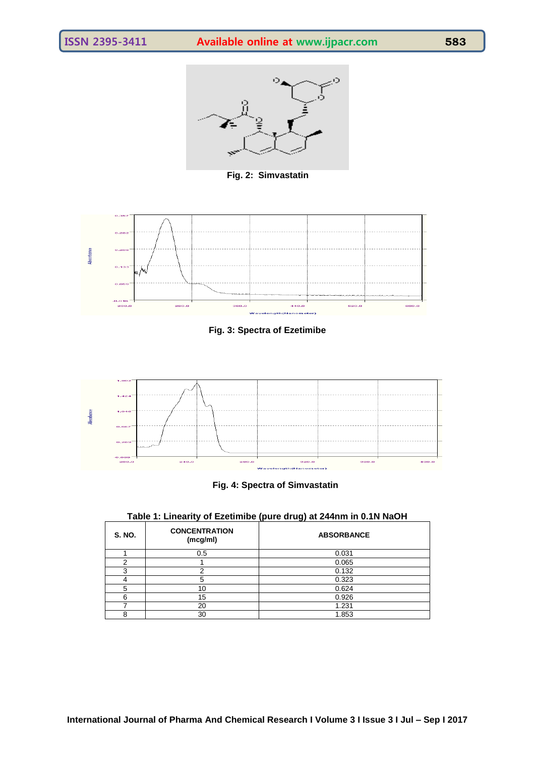

**Fig. 2: Simvastatin**



**Fig. 3: Spectra of Ezetimibe**





**Table 1: Linearity of Ezetimibe (pure drug) at 244nm in 0.1N NaOH**

| <b>S. NO.</b> | <b>CONCENTRATION</b><br>(mcg/ml) | <b>ABSORBANCE</b> |  |  |
|---------------|----------------------------------|-------------------|--|--|
|               | 0.5                              | 0.031             |  |  |
| C             |                                  | 0.065             |  |  |
| 3             | ົ                                | 0.132             |  |  |
|               | 5                                | 0.323             |  |  |
| 5             | 10                               | 0.624             |  |  |
| 6             | 15                               | 0.926             |  |  |
|               | 20                               | 1.231             |  |  |
| 8             | 30                               | 1.853             |  |  |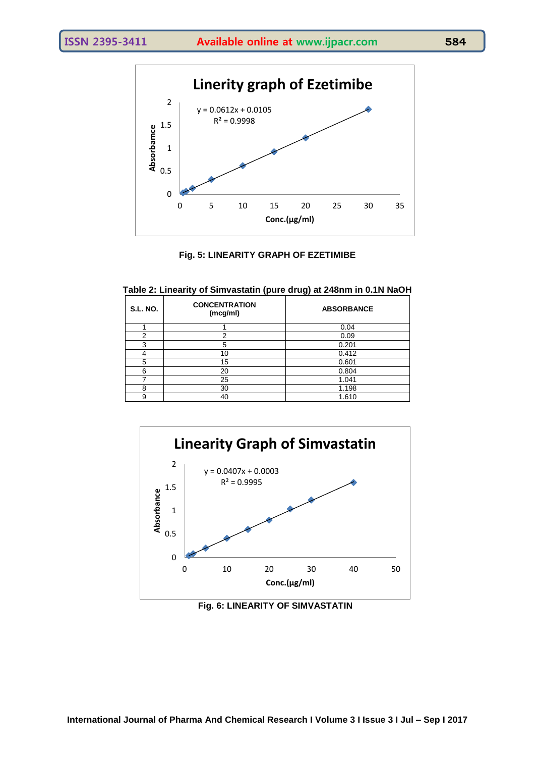

#### **Fig. 5: LINEARITY GRAPH OF EZETIMIBE**

| <b>S.L. NO.</b> | w<br><b>CONCENTRATION</b><br>(mcg/ml) | <b>ABSORBANCE</b> |  |  |  |
|-----------------|---------------------------------------|-------------------|--|--|--|
|                 |                                       | 0.04              |  |  |  |
|                 |                                       | 0.09              |  |  |  |
| ົ               | 5                                     | 0.201             |  |  |  |
|                 | 10                                    | 0.412             |  |  |  |
| 5               | 15                                    | 0.601             |  |  |  |
| հ               | 20                                    | 0.804             |  |  |  |
|                 | 25                                    | 1.041             |  |  |  |
| 8               | 30                                    | 1.198             |  |  |  |

9 40 1.610

**Table 2: Linearity of Simvastatin (pure drug) at 248nm in 0.1N NaOH**



**Fig. 6: LINEARITY OF SIMVASTATIN**